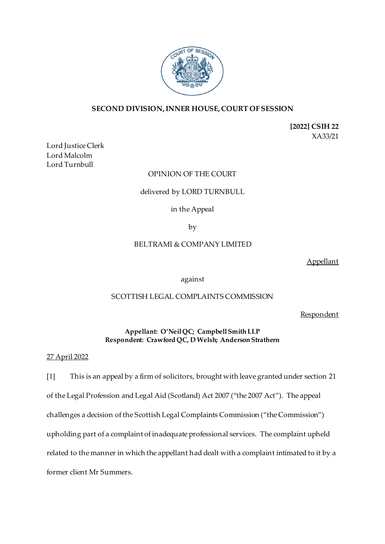

# **SECOND DIVISION, INNER HOUSE, COURT OF SESSION**

**[2022] CSIH 22** XA33/21

Lord Justice Clerk Lord Malcolm Lord Turnbull

# OPINION OF THE COURT

#### delivered by LORD TURNBULL

## in the Appeal

by

## BELTRAMI & COMPANY LIMITED

Appellant

against

# SCOTTISH LEGAL COMPLAINTS COMMISSION

**Respondent** 

## **Appellant: O'Neil QC; Campbell Smith LLP Respondent: Crawford QC, D Welsh; Anderson Strathern**

### 27 April 2022

[1] This is an appeal by a firm of solicitors, brought with leave granted under section 21 of the Legal Profession and Legal Aid (Scotland) Act 2007 ("the 2007 Act"). The appeal challenges a decision of the Scottish Legal Complaints Commission ("the Commission") upholding part of a complaint of inadequate professional services. The complaint upheld related to the manner in which the appellant had dealt with a complaint intimated to it by a former client Mr Summers.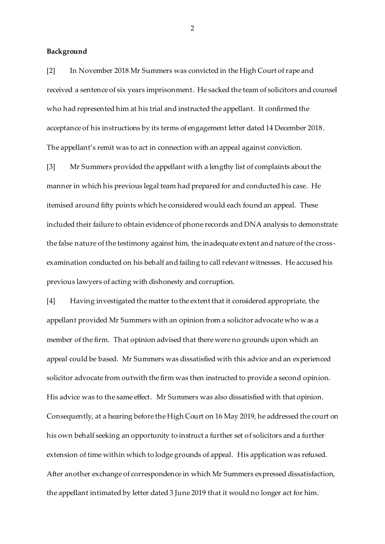#### **Background**

[2] In November 2018 Mr Summers was convicted in the High Court of rape and received a sentence of six years imprisonment. He sacked the team of solicitors and counsel who had represented him at his trial and instructed the appellant. It confirmed the acceptance of his instructions by its terms of engagement letter dated 14 December 2018. The appellant's remit was to act in connection with an appeal against conviction.

[3] Mr Summers provided the appellant with a lengthy list of complaints about the manner in which his previous legal team had prepared for and conducted his case. He itemised around fifty points which he considered would each found an appeal. These included their failure to obtain evidence of phone records and DNA analysis to demonstrate the false nature of the testimony against him, the inadequate extent and nature of the crossexamination conducted on his behalf and failing to call relevant witnesses. He accused his previous lawyers of acting with dishonesty and corruption.

[4] Having investigated the matter to the extent that it considered appropriate, the appellant provided Mr Summers with an opinion from a solicitor advocate who was a member of the firm. That opinion advised that there were no grounds upon which an appeal could be based. Mr Summers was dissatisfied with this advice and an experienced solicitor advocate from outwith the firm was then instructed to provide a second opinion. His advice was to the same effect. Mr Summers was also dissatisfied with that opinion. Consequently, at a hearing before the High Court on 16 May 2019, he addressed the court on his own behalf seeking an opportunity to instruct a further set of solicitors and a further extension of time within which to lodge grounds of appeal. His application was refused. After another exchange of correspondence in which Mr Summers expressed dissatisfaction, the appellant intimated by letter dated 3 June 2019 that it would no longer act for him.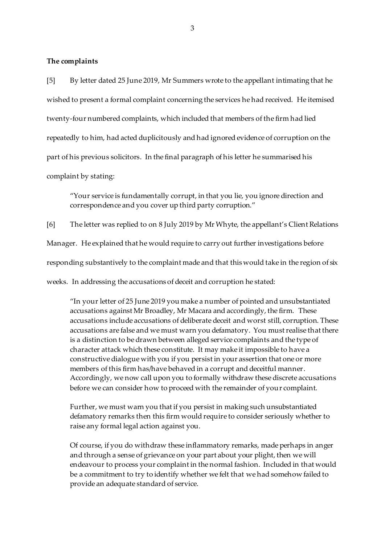### **The complaints**

[5] By letter dated 25 June 2019, Mr Summers wrote to the appellant intimating that he wished to present a formal complaint concerning the services he had received. He itemised twenty-four numbered complaints, which included that members of the firm had lied repeatedly to him, had acted duplicitously and had ignored evidence of corruption on the part of his previous solicitors. In the final paragraph of his letter he summarised his complaint by stating:

"Your service is fundamentally corrupt, in that you lie, you ignore direction and correspondence and you cover up third party corruption."

[6] The letter was replied to on 8 July 2019 by Mr Whyte, the appellant's Client Relations Manager. He explained that he would require to carry out further investigations before responding substantively to the complaint made and that this would take in the region of six weeks. In addressing the accusations of deceit and corruption he stated:

"In your letter of 25 June 2019 you make a number of pointed and unsubstantiated accusations against Mr Broadley, Mr Macara and accordingly, the firm. These accusations include accusations of deliberate deceit and worst still, corruption. These accusations are false and we must warn you defamatory. You must realise that there is a distinction to be drawn between alleged service complaints and the type of character attack which these constitute. It may make it impossible to have a constructive dialogue with you if you persist in your assertion that one or more members of this firm has/have behaved in a corrupt and deceitful manner. Accordingly, we now call upon you to formally withdraw these discrete accusations before we can consider how to proceed with the remainder of your complaint.

Further, we must warn you that if you persist in making such unsubstantiated defamatory remarks then this firm would require to consider seriously whether to raise any formal legal action against you.

Of course, if you do withdraw these inflammatory remarks, made perhaps in anger and through a sense of grievance on your part about your plight, then we will endeavour to process your complaint in the normal fashion. Included in that would be a commitment to try to identify whether we felt that we had somehow failed to provide an adequate standard of service.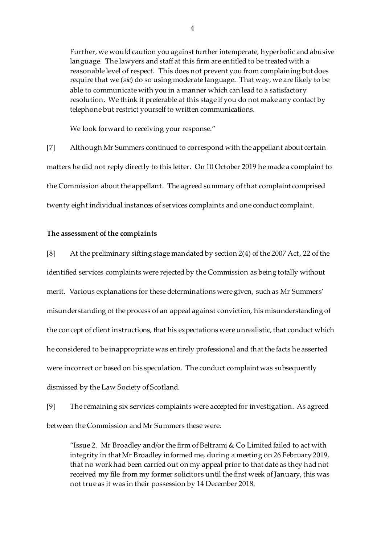Further, we would caution you against further intemperate, hyperbolic and abusive language. The lawyers and staff at this firm are entitled to be treated with a reasonable level of respect. This does not prevent you from complaining but does require that we (*sic*) do so using moderate language. That way, we are likely to be able to communicate with you in a manner which can lead to a satisfactory resolution. We think it preferable at this stage if you do not make any contact by telephone but restrict yourself to written communications.

We look forward to receiving your response."

[7] Although Mr Summers continued to correspond with the appellant about certain matters he did not reply directly to this letter. On 10 October 2019 he made a complaint to the Commission about the appellant. The agreed summary of that complaint comprised twenty eight individual instances of services complaints and one conduct complaint.

#### **The assessment of the complaints**

[8] At the preliminary sifting stage mandated by section 2(4) of the 2007 Act, 22 of the identified services complaints were rejected by the Commission as being totally without merit. Various explanations for these determinations were given, such as Mr Summers' misunderstanding of the process of an appeal against conviction, his misunderstanding of the concept of client instructions, that his expectations were unrealistic, that conduct which he considered to be inappropriate was entirely professional and that the facts he asserted were incorrect or based on his speculation. The conduct complaint was subsequently dismissed by the Law Society of Scotland.

[9] The remaining six services complaints were accepted for investigation. As agreed between the Commission and Mr Summers these were:

"Issue 2. Mr Broadley and/or the firm of Beltrami  $& Co$  Limited failed to act with integrity in that Mr Broadley informed me, during a meeting on 26 February 2019, that no work had been carried out on my appeal prior to that date as they had not received my file from my former solicitors until the first week of January, this was not true as it was in their possession by 14 December 2018.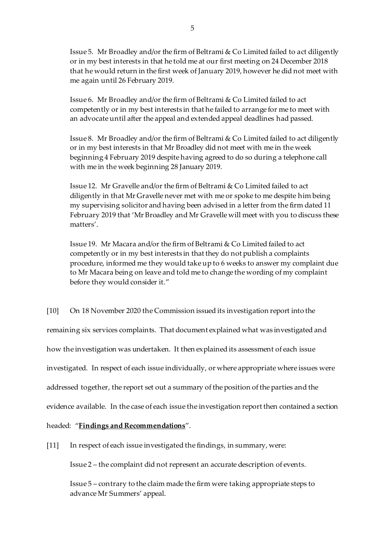Issue 5. Mr Broadley and/or the firm of Beltrami & Co Limited failed to act diligently or in my best interests in that he told me at our first meeting on 24 December 2018 that he would return in the first week of January 2019, however he did not meet with me again until 26 February 2019.

Issue 6. Mr Broadley and/or the firm of Beltrami & Co Limited failed to act competently or in my best interests in that he failed to arrange for me to meet with an advocate until after the appeal and extended appeal deadlines had passed.

Issue 8. Mr Broadley and/or the firm of Beltrami & Co Limited failed to act diligently or in my best interests in that Mr Broadley did not meet with me in the week beginning 4 February 2019 despite having agreed to do so during a telephone call with me in the week beginning 28 January 2019.

Issue 12. Mr Gravelle and/or the firm of Beltrami & Co Limited failed to act diligently in that Mr Gravelle never met with me or spoke to me despite him being my supervising solicitor and having been advised in a letter from the firm dated 11 February 2019 that 'Mr Broadley and Mr Gravelle will meet with you to discuss these matters'.

Issue 19. Mr Macara and/or the firm of Beltrami & Co Limited failed to act competently or in my best interests in that they do not publish a complaints procedure, informed me they would take up to 6 weeks to answer my complaint due to Mr Macara being on leave and told me to change the wording of my complaint before they would consider it."

[10] On 18 November 2020 the Commission issued its investigation report into the

remaining six services complaints. That document explained what was investigated and

how the investigation was undertaken. It then explained its assessment of each issue

investigated. In respect of each issue individually, or where appropriate where issues were

addressed together, the report set out a summary of the position of the parties and the

evidence available. In the case of each issue the investigation report then contained a section

## headed: "**Findings and Recommendations**".

[11] In respect of each issue investigated the findings, in summary, were:

Issue 2 – the complaint did not represent an accurate description of events.

Issue 5 – contrary to the claim made the firm were taking appropriate steps to advance Mr Summers' appeal.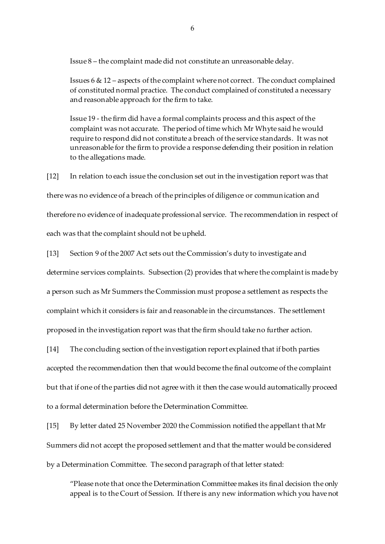Issue 8 – the complaint made did not constitute an unreasonable delay.

Issues 6 & 12 – aspects of the complaint where not correct. The conduct complained of constituted normal practice. The conduct complained of constituted a necessary and reasonable approach for the firm to take.

Issue 19 - the firm did have a formal complaints process and this aspect of the complaint was not accurate. The period of time which Mr Whyte said he would require to respond did not constitute a breach of the service standards. It was not unreasonable for the firm to provide a response defending their position in relation to the allegations made.

[12] In relation to each issue the conclusion set out in the investigation report was that there was no evidence of a breach of the principles of diligence or communication and therefore no evidence of inadequate professional service. The recommendation in respect of each was that the complaint should not be upheld.

[13] Section 9 of the 2007 Act sets out the Commission's duty to investigate and determine services complaints. Subsection (2) provides that where the complaint is made by a person such as Mr Summers the Commission must propose a settlement as respects the complaint which it considers is fair and reasonable in the circumstances. The settlement proposed in the investigation report was that the firm should take no further action.

[14] The concluding section of the investigation report explained that if both parties accepted the recommendation then that would become the final outcome of the complaint but that if one of the parties did not agree with it then the case would automatically proceed to a formal determination before the Determination Committee.

[15] By letter dated 25 November 2020 the Commission notified the appellant that Mr Summers did not accept the proposed settlement and that the matter would be considered by a Determination Committee. The second paragraph of that letter stated:

"Please note that once the Determination Committee makes its final decision the only appeal is to the Court of Session. If there is any new information which you have not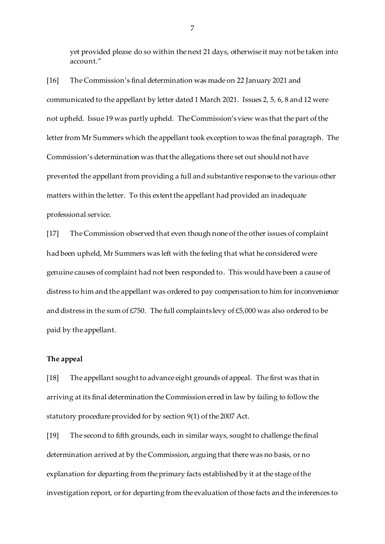yet provided please do so within the next 21 days, otherwise it may not be taken into account."

[16] The Commission's final determination was made on 22 January 2021 and communicated to the appellant by letter dated 1 March 2021. Issues 2, 5, 6, 8 and 12 were not upheld. Issue 19 was partly upheld. The Commission's view was that the part of the letter from Mr Summers which the appellant took exception to was the final paragraph. The Commission's determination was that the allegations there set out should not have prevented the appellant from providing a full and substantive response to the various other matters within the letter. To this extent the appellant had provided an inadequate professional service.

[17] The Commission observed that even though none of the other issues of complaint had been upheld, Mr Summers was left with the feeling that what he considered were genuine causes of complaint had not been responded to. This would have been a cause of distress to him and the appellant was ordered to pay compensation to him for inconvenience and distress in the sum of £750. The full complaints levy of £5,000 was also ordered to be paid by the appellant.

#### **The appeal**

[18] The appellant sought to advance eight grounds of appeal. The first was that in arriving at its final determination the Commission erred in law by failing to follow the statutory procedure provided for by section 9(1) of the 2007 Act.

[19] The second to fifth grounds, each in similar ways, sought to challenge the final determination arrived at by the Commission, arguing that there was no basis, or no explanation for departing from the primary facts established by it at the stage of the investigation report, or for departing from the evaluation of those facts and the inferences to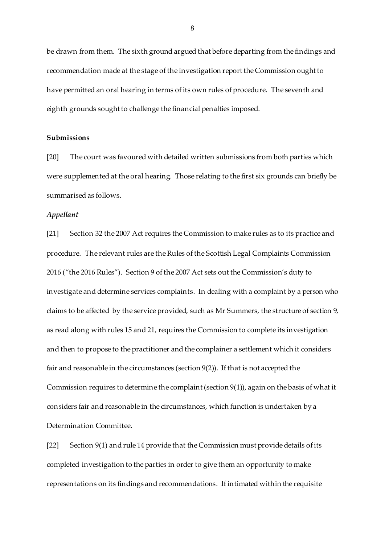be drawn from them. The sixth ground argued that before departing from the findings and recommendation made at the stage of the investigation report the Commission ought to have permitted an oral hearing in terms of its own rules of procedure. The seventh and eighth grounds sought to challenge the financial penalties imposed.

## **Submissions**

[20] The court was favoured with detailed written submissions from both parties which were supplemented at the oral hearing. Those relating to the first six grounds can briefly be summarised as follows.

#### *Appellant*

[21] Section 32 the 2007 Act requires the Commission to make rules as to its practice and procedure. The relevant rules are the Rules of the Scottish Legal Complaints Commission 2016 ("the 2016 Rules"). Section 9 of the 2007 Act sets out the Commission's duty to investigate and determine services complaints. In dealing with a complaint by a person who claims to be affected by the service provided, such as Mr Summers, the structure of section 9, as read along with rules 15 and 21, requires the Commission to complete its investigation and then to propose to the practitioner and the complainer a settlement which it considers fair and reasonable in the circumstances (section 9(2)). If that is not accepted the Commission requires to determine the complaint (section 9(1)), again on the basis of what it considers fair and reasonable in the circumstances, which function is undertaken by a Determination Committee.

[22] Section 9(1) and rule 14 provide that the Commission must provide details of its completed investigation to the parties in order to give them an opportunity to make representations on its findings and recommendations. If intimated within the requisite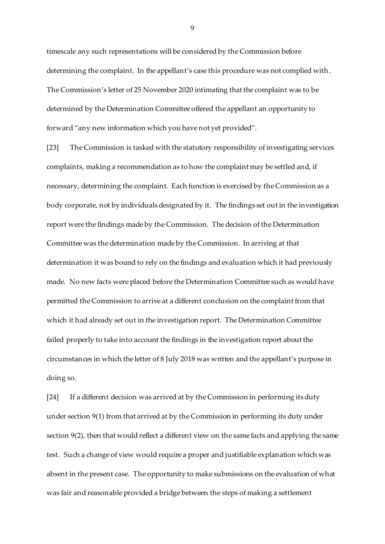timescale any such representations will be considered by the Commission before determining the complaint. In the appellant's case this procedure was not complied with. The Commission's letter of 25 November 2020 intimating that the complaint was to be determined by the Determination Committee offered the appellant an opportunity to forward "any new information which you have not yet provided".

[23] The Commission is tasked with the statutory responsibility of investigating services complaints, making a recommendation as to how the complaint may be settled and, if necessary, determining the complaint. Each function is exercised by the Commission as a body corporate, not by individuals designated by it. The findings set out in the investigation report were the findings made by the Commission. The decision of the Determination Committee was the determination made by the Commission. In arriving at that determination it was bound to rely on the findings and evaluation which it had previously made. No new facts were placed before the Determination Committee such as would have permitted the Commission to arrive at a different conclusion on the complaint from that which it had already set out in the investigation report. The Determination Committee failed properly to take into account the findings in the investigation report about the circumstances in which the letter of 8 July 2018 was written and the appellant's purpose in doing so.

[24] If a different decision was arrived at by the Commission in performing its duty under section 9(1) from that arrived at by the Commission in performing its duty under section 9(2), then that would reflect a different view on the same facts and applying the same test. Such a change of view would require a proper and justifiable explanation which was absent in the present case. The opportunity to make submissions on the evaluation of what was fair and reasonable provided a bridge between the steps of making a settlement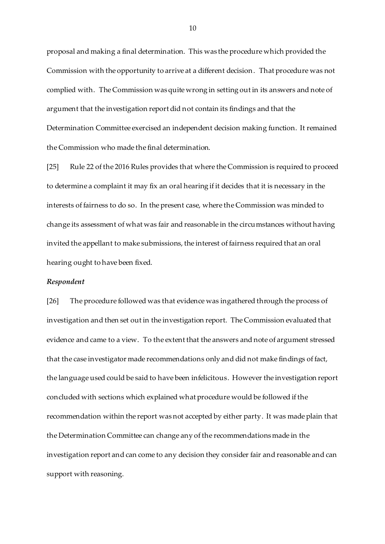proposal and making a final determination. This was the procedure which provided the Commission with the opportunity to arrive at a different decision. That procedure was not complied with. The Commission was quite wrong in setting out in its answers and note of argument that the investigation report did not contain its findings and that the Determination Committee exercised an independent decision making function. It remained the Commission who made the final determination.

[25] Rule 22 of the 2016 Rules provides that where the Commission is required to proceed to determine a complaint it may fix an oral hearing if it decides that it is necessary in the interests of fairness to do so. In the present case, where the Commission was minded to change its assessment of what was fair and reasonable in the circumstances without having invited the appellant to make submissions, the interest of fairness required that an oral hearing ought to have been fixed.

#### *Respondent*

[26] The procedure followed was that evidence was ingathered through the process of investigation and then set out in the investigation report. The Commission evaluated that evidence and came to a view. To the extent that the answers and note of argument stressed that the case investigator made recommendations only and did not make findings of fact, the language used could be said to have been infelicitous. However the investigation report concluded with sections which explained what procedure would be followed if the recommendation within the report was not accepted by either party. It was made plain that the Determination Committee can change any of the recommendations made in the investigation report and can come to any decision they consider fair and reasonable and can support with reasoning.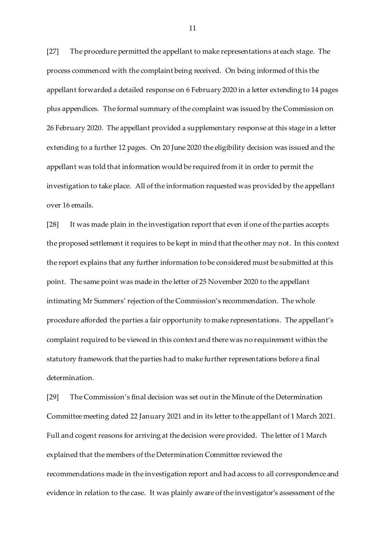[27] The procedure permitted the appellant to make representations at each stage. The process commenced with the complaint being received. On being informed of this the appellant forwarded a detailed response on 6 February 2020 in a letter extending to 14 pages plus appendices. The formal summary of the complaint was issued by the Commission on 26 February 2020. The appellant provided a supplementary response at this stage in a letter extending to a further 12 pages. On 20 June 2020 the eligibility decision was issued and the appellant was told that information would be required from it in order to permit the investigation to take place. All of the information requested was provided by the appellant over 16 emails.

[28] It was made plain in the investigation report that even if one of the parties accepts the proposed settlement it requires to be kept in mind that the other may not. In this context the report explains that any further information to be considered must be submitted at this point. The same point was made in the letter of 25 November 2020 to the appellant intimating Mr Summers' rejection of the Commission's recommendation. The whole procedure afforded the parties a fair opportunity to make representations. The appellant's complaint required to be viewed in this context and there was no requirement within the statutory framework that the parties had to make further representations before a final determination.

[29] The Commission's final decision was set out in the Minute of the Determination Committee meeting dated 22 January 2021 and in its letter to the appellant of 1 March 2021. Full and cogent reasons for arriving at the decision were provided. The letter of 1 March explained that the members of the Determination Committee reviewed the recommendations made in the investigation report and had access to all correspondence and evidence in relation to the case. It was plainly aware of the investigator's assessment of the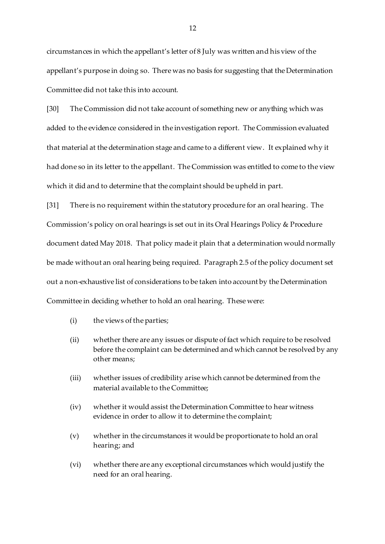circumstances in which the appellant's letter of 8 July was written and his view of the appellant's purpose in doing so. There was no basis for suggesting that the Determination Committee did not take this into account.

[30] The Commission did not take account of something new or anything which was added to the evidence considered in the investigation report. The Commission evaluated that material at the determination stage and came to a different view. It explained why it had done so in its letter to the appellant. The Commission was entitled to come to the view which it did and to determine that the complaint should be upheld in part.

[31] There is no requirement within the statutory procedure for an oral hearing. The Commission's policy on oral hearings is set out in its Oral Hearings Policy & Procedure document dated May 2018. That policy made it plain that a determination would normally be made without an oral hearing being required. Paragraph 2.5 of the policy document set out a non-exhaustive list of considerations to be taken into account by the Determination Committee in deciding whether to hold an oral hearing. These were:

- (i) the views of the parties;
- (ii) whether there are any issues or dispute of fact which require to be resolved before the complaint can be determined and which cannot be resolved by any other means;
- (iii) whether issues of credibility arise which cannot be determined from the material available to the Committee;
- (iv) whether it would assist the Determination Committee to hear witness evidence in order to allow it to determine the complaint;
- (v) whether in the circumstances it would be proportionate to hold an oral hearing; and
- (vi) whether there are any exceptional circumstances which would justify the need for an oral hearing.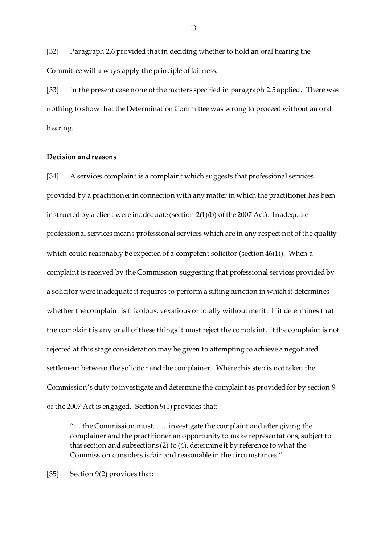[32] Paragraph 2.6 provided that in deciding whether to hold an oral hearing the Committee will always apply the principle of fairness.

[33] In the present case none of the matters specified in paragraph 2.5 applied. There was nothing to show that the Determination Committee was wrong to proceed without an oral hearing.

## **Decision and reasons**

[34] A services complaint is a complaint which suggests that professional services provided by a practitioner in connection with any matter in which the practitioner has been instructed by a client were inadequate (section 2(1)(b) of the 2007 Act). Inadequate professional services means professional services which are in any respect not of the quality which could reasonably be expected of a competent solicitor (section 46(1)). When a complaint is received by the Commission suggesting that professional services provided by a solicitor were inadequate it requires to perform a sifting function in which it determines whether the complaint is frivolous, vexatious or totally without merit. If it determines that the complaint is any or all of these things it must reject the complaint. If the complaint is not rejected at this stage consideration may be given to attempting to achieve a negotiated settlement between the solicitor and the complainer. Where this step is not taken the Commission's duty to investigate and determine the complaint as provided for by section 9 of the 2007 Act is engaged. Section 9(1) provides that:

"… the Commission must, …. investigate the complaint and after giving the complainer and the practitioner an opportunity to make representations, subject to this section and subsections (2) to (4), determine it by reference to what the Commission considers is fair and reasonable in the circumstances."

[35] Section 9(2) provides that: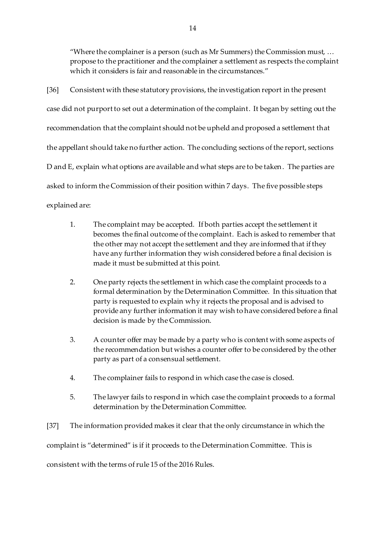"Where the complainer is a person (such as Mr Summers) the Commission must, … propose to the practitioner and the complainer a settlement as respects the complaint which it considers is fair and reasonable in the circumstances."

[36] Consistent with these statutory provisions, the investigation report in the present case did not purport to set out a determination of the complaint. It began by setting out the recommendation that the complaint should not be upheld and proposed a settlement that the appellant should take no further action. The concluding sections of the report, sections D and E, explain what options are available and what steps are to be taken. The parties are asked to inform the Commission of their position within 7 days. The five possible steps explained are:

- 1. The complaint may be accepted. If both parties accept the settlement it becomes the final outcome of the complaint. Each is asked to remember that the other may not accept the settlement and they are informed that if they have any further information they wish considered before a final decision is made it must be submitted at this point.
- 2. One party rejects the settlement in which case the complaint proceeds to a formal determination by the Determination Committee. In this situation that party is requested to explain why it rejects the proposal and is advised to provide any further information it may wish to have considered before a final decision is made by the Commission.
- 3. A counter offer may be made by a party who is content with some aspects of the recommendation but wishes a counter offer to be considered by the other party as part of a consensual settlement.
- 4. The complainer fails to respond in which case the case is closed.
- 5. The lawyer fails to respond in which case the complaint proceeds to a formal determination by the Determination Committee.
- [37] The information provided makes it clear that the only circumstance in which the

complaint is "determined" is if it proceeds to the Determination Committee. This is

consistent with the terms of rule 15 of the 2016 Rules.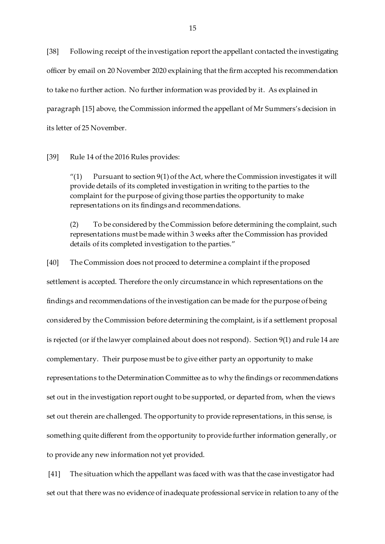[38] Following receipt of the investigation report the appellant contacted the investigating officer by email on 20 November 2020 explaining that the firm accepted his recommendation to take no further action. No further information was provided by it. As explained in paragraph [15] above, the Commission informed the appellant of Mr Summers's decision in its letter of 25 November.

[39] Rule 14 of the 2016 Rules provides:

"(1) Pursuant to section  $9(1)$  of the Act, where the Commission investigates it will provide details of its completed investigation in writing to the parties to the complaint for the purpose of giving those parties the opportunity to make representations on its findings and recommendations.

(2) To be considered by the Commission before determining the complaint, such representations must be made within 3 weeks after the Commission has provided details of its completed investigation to the parties."

[40] The Commission does not proceed to determine a complaint if the proposed settlement is accepted. Therefore the only circumstance in which representations on the findings and recommendations of the investigation can be made for the purpose of being considered by the Commission before determining the complaint, is if a settlement proposal is rejected (or if the lawyer complained about does not respond). Section 9(1) and rule 14 are complementary. Their purpose must be to give either party an opportunity to make representations to the Determination Committee as to why the findings or recommendations set out in the investigation report ought to be supported, or departed from, when the views set out therein are challenged. The opportunity to provide representations, in this sense, is something quite different from the opportunity to provide further information generally, or to provide any new information not yet provided.

[41] The situation which the appellant was faced with was that the case investigator had set out that there was no evidence of inadequate professional service in relation to any of the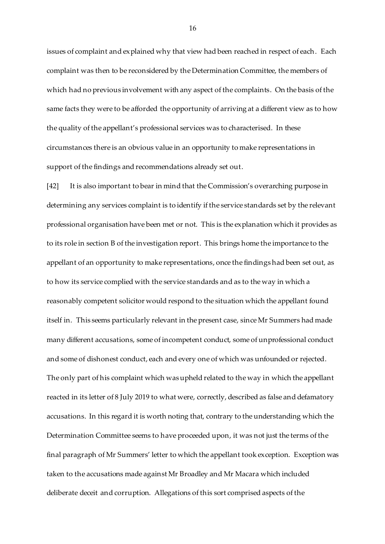issues of complaint and explained why that view had been reached in respect of each. Each complaint was then to be reconsidered by the Determination Committee, the members of which had no previous involvement with any aspect of the complaints. On the basis of the same facts they were to be afforded the opportunity of arriving at a different view as to how the quality of the appellant's professional services was to characterised. In these circumstances there is an obvious value in an opportunity to make representations in support of the findings and recommendations already set out.

[42] It is also important to bear in mind that the Commission's overarching purpose in determining any services complaint is to identify if the service standards set by the relevant professional organisation have been met or not. This is the explanation which it provides as to its role in section B of the investigation report. This brings home the importance to the appellant of an opportunity to make representations, once the findings had been set out, as to how its service complied with the service standards and as to the way in which a reasonably competent solicitor would respond to the situation which the appellant found itself in. This seems particularly relevant in the present case, since Mr Summers had made many different accusations, some of incompetent conduct, some of unprofessional conduct and some of dishonest conduct, each and every one of which was unfounded or rejected. The only part of his complaint which was upheld related to the way in which the appellant reacted in its letter of 8 July 2019 to what were, correctly, described as false and defamatory accusations. In this regard it is worth noting that, contrary to the understanding which the Determination Committee seems to have proceeded upon, it was not just the terms of the final paragraph of Mr Summers' letter to which the appellant took exception. Exception was taken to the accusations made against Mr Broadley and Mr Macara which included deliberate deceit and corruption. Allegations of this sort comprised aspects of the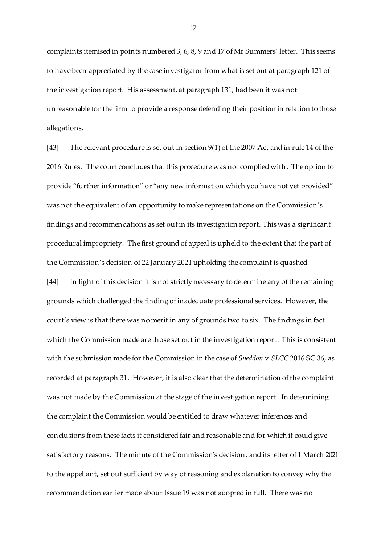complaints itemised in points numbered 3, 6, 8, 9 and 17 of Mr Summers' letter. This seems to have been appreciated by the case investigator from what is set out at paragraph 121 of the investigation report. His assessment, at paragraph 131, had been it was not unreasonable for the firm to provide a response defending their position in relation to those allegations.

[43] The relevant procedure is set out in section 9(1) of the 2007 Act and in rule 14 of the 2016 Rules. The court concludes that this procedure was not complied with. The option to provide "further information" or "any new information which you have not yet provided" was not the equivalent of an opportunity to make representations on the Commission's findings and recommendations as set out in its investigation report. This was a significant procedural impropriety. The first ground of appeal is upheld to the extent that the part of the Commission's decision of 22 January 2021 upholding the complaint is quashed.

[44] In light of this decision it is not strictly necessary to determine any of the remaining grounds which challenged the finding of inadequate professional services. However, the court's view is that there was no merit in any of grounds two to six. The findings in fact which the Commission made are those set out in the investigation report. This is consistent with the submission made for the Commission in the case of *Sneddon* v *SLCC* 2016 SC 36, as recorded at paragraph 31. However, it is also clear that the determination of the complaint was not made by the Commission at the stage of the investigation report. In determining the complaint the Commission would be entitled to draw whatever inferences and conclusions from these facts it considered fair and reasonable and for which it could give satisfactory reasons. The minute of the Commission's decision, and its letter of 1 March 2021 to the appellant, set out sufficient by way of reasoning and explanation to convey why the recommendation earlier made about Issue 19 was not adopted in full. There was no